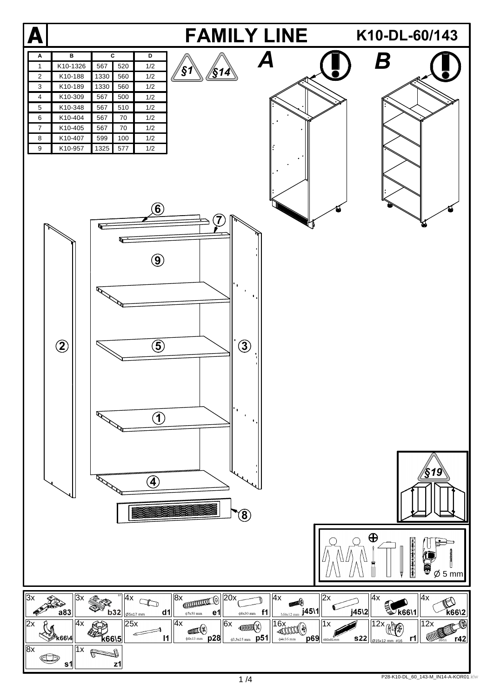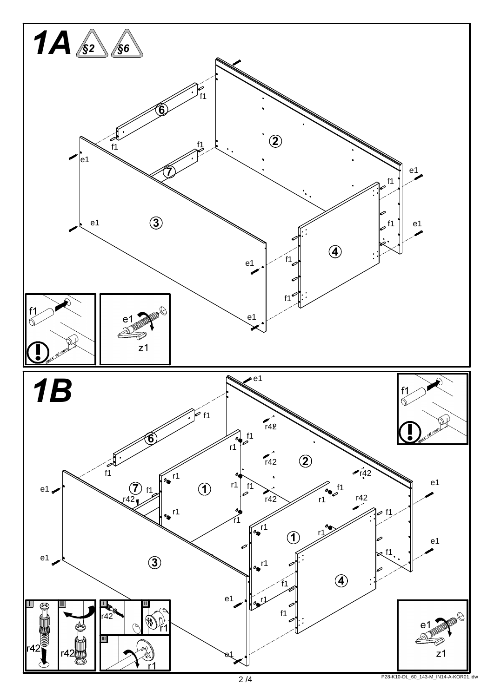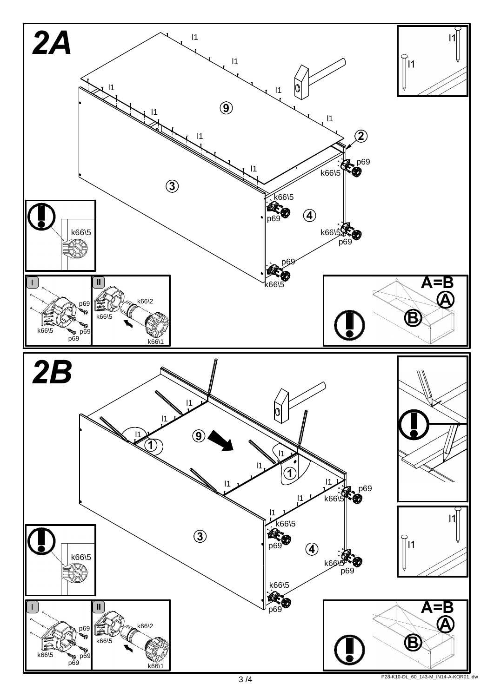